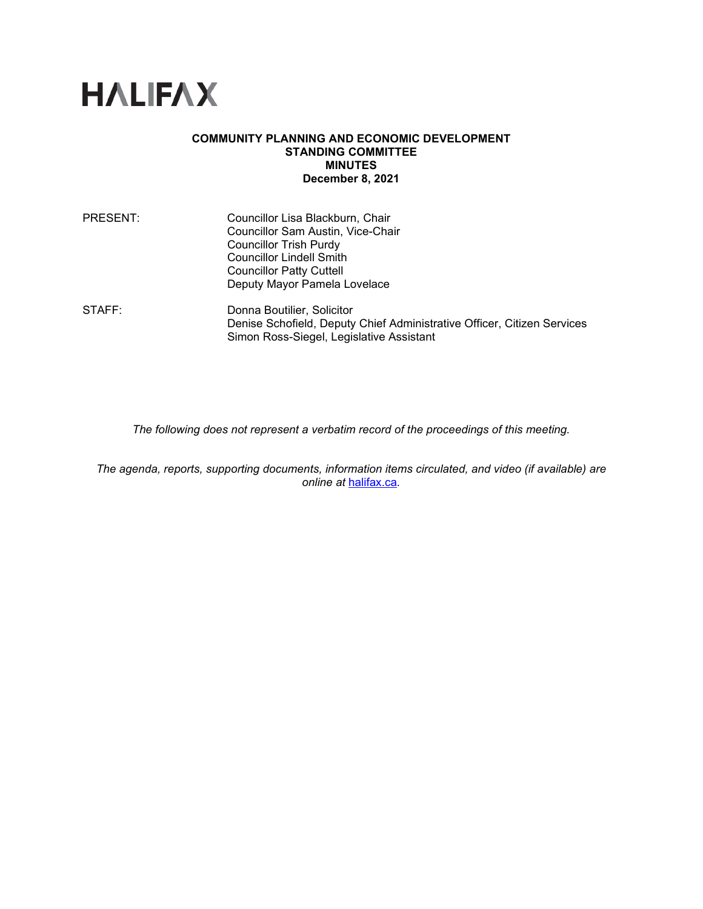

## **COMMUNITY PLANNING AND ECONOMIC DEVELOPMENT STANDING COMMITTEE MINUTES December 8, 2021**

| PRESENT:           | Councillor Lisa Blackburn, Chair                                        |
|--------------------|-------------------------------------------------------------------------|
|                    | Councillor Sam Austin, Vice-Chair                                       |
|                    | <b>Councillor Trish Purdy</b>                                           |
|                    | <b>Councillor Lindell Smith</b>                                         |
|                    | <b>Councillor Patty Cuttell</b>                                         |
|                    | Deputy Mayor Pamela Lovelace                                            |
| $\mathsf{STATE}$ : | Donna Boutilier, Solicitor                                              |
|                    | Denise Schofield, Deputy Chief Administrative Officer, Citizen Services |
|                    | Simon Ross-Siegel, Legislative Assistant                                |

*The following does not represent a verbatim record of the proceedings of this meeting.*

*The agenda, reports, supporting documents, information items circulated, and video (if available) are online at* [halifax.ca](http://www.halifax.ca/)*.*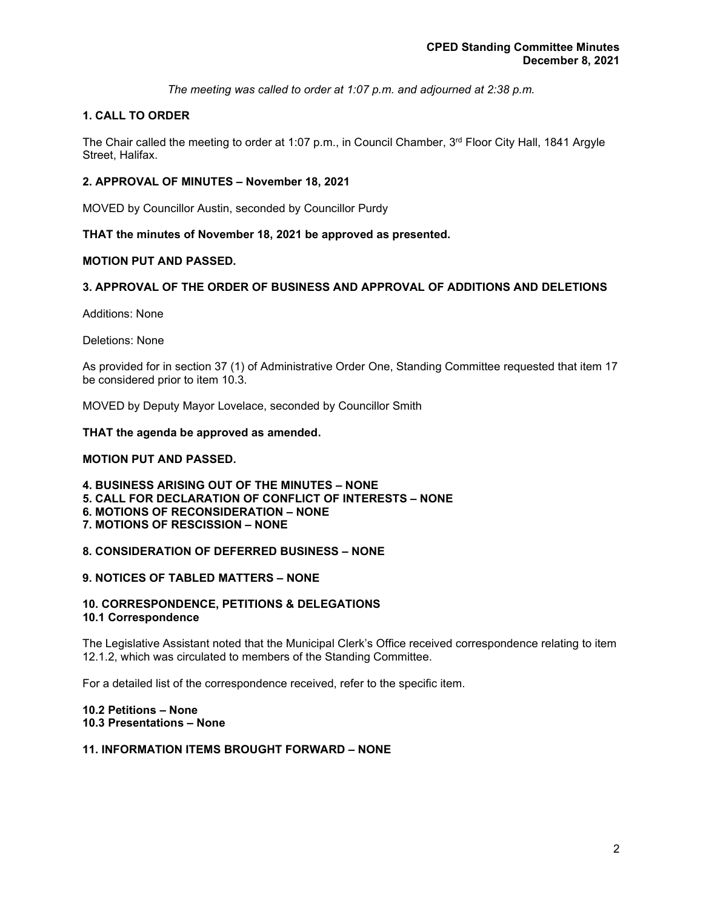*The meeting was called to order at 1:07 p.m. and adjourned at 2:38 p.m.*

# **1. CALL TO ORDER**

The Chair called the meeting to order at 1:07 p.m., in Council Chamber,  $3<sup>rd</sup>$  Floor City Hall, 1841 Argyle Street, Halifax.

# **2. APPROVAL OF MINUTES – November 18, 2021**

MOVED by Councillor Austin, seconded by Councillor Purdy

**THAT the minutes of November 18, 2021 be approved as presented.**

## **MOTION PUT AND PASSED.**

# **3. APPROVAL OF THE ORDER OF BUSINESS AND APPROVAL OF ADDITIONS AND DELETIONS**

Additions: None

Deletions: None

As provided for in section 37 (1) of Administrative Order One, Standing Committee requested that item 17 be considered prior to item 10.3.

MOVED by Deputy Mayor Lovelace, seconded by Councillor Smith

## **THAT the agenda be approved as amended.**

## **MOTION PUT AND PASSED.**

**4. BUSINESS ARISING OUT OF THE MINUTES – NONE 5. CALL FOR DECLARATION OF CONFLICT OF INTERESTS – NONE 6. MOTIONS OF RECONSIDERATION – NONE 7. MOTIONS OF RESCISSION – NONE**

## **8. CONSIDERATION OF DEFERRED BUSINESS – NONE**

## **9. NOTICES OF TABLED MATTERS – NONE**

## **10. CORRESPONDENCE, PETITIONS & DELEGATIONS 10.1 Correspondence**

The Legislative Assistant noted that the Municipal Clerk's Office received correspondence relating to item 12.1.2, which was circulated to members of the Standing Committee.

For a detailed list of the correspondence received, refer to the specific item.

## **10.2 Petitions – None 10.3 Presentations – None**

# **11. INFORMATION ITEMS BROUGHT FORWARD – NONE**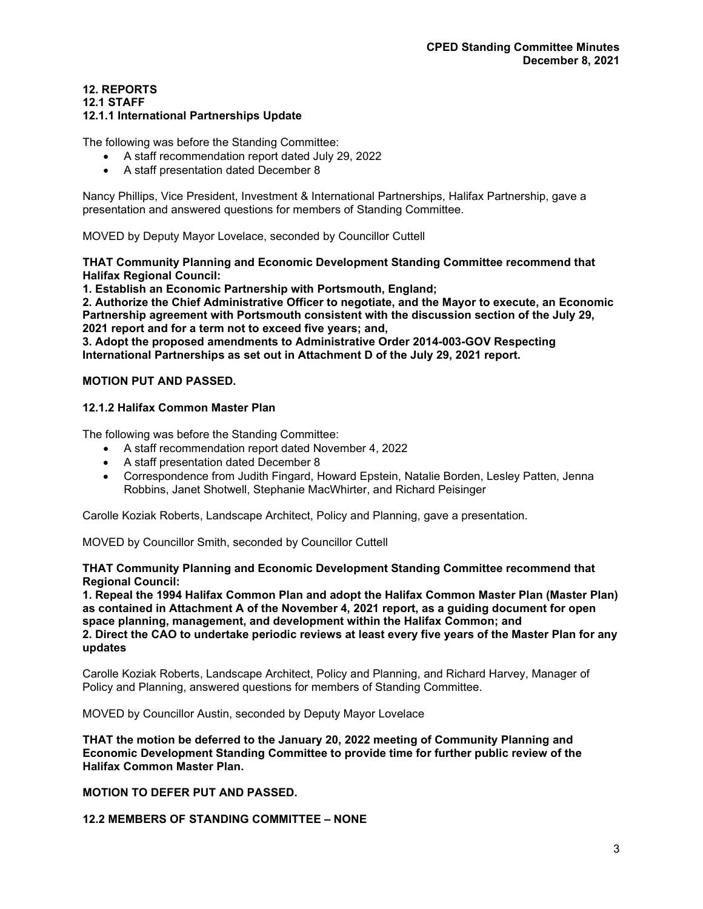# **12. REPORTS**

#### **12.1 STAFF**

### **12.1.1 International Partnerships Update**

The following was before the Standing Committee:

- A staff recommendation report dated July 29, 2022
- A staff presentation dated December 8

Nancy Phillips, Vice President, Investment & International Partnerships, Halifax Partnership, gave a presentation and answered questions for members of Standing Committee.

MOVED by Deputy Mayor Lovelace, seconded by Councillor Cuttell

**THAT Community Planning and Economic Development Standing Committee recommend that Halifax Regional Council:**

**1. Establish an Economic Partnership with Portsmouth, England;**

**2. Authorize the Chief Administrative Officer to negotiate, and the Mayor to execute, an Economic Partnership agreement with Portsmouth consistent with the discussion section of the July 29, 2021 report and for a term not to exceed five years; and,** 

**3. Adopt the proposed amendments to Administrative Order 2014-003-GOV Respecting International Partnerships as set out in Attachment D of the July 29, 2021 report.**

## **MOTION PUT AND PASSED.**

## **12.1.2 Halifax Common Master Plan**

The following was before the Standing Committee:

- A staff recommendation report dated November 4, 2022
- A staff presentation dated December 8
- Correspondence from Judith Fingard, Howard Epstein, Natalie Borden, Lesley Patten, Jenna Robbins, Janet Shotwell, Stephanie MacWhirter, and Richard Peisinger

Carolle Koziak Roberts, Landscape Architect, Policy and Planning, gave a presentation.

MOVED by Councillor Smith, seconded by Councillor Cuttell

**THAT Community Planning and Economic Development Standing Committee recommend that Regional Council:**

**1. Repeal the 1994 Halifax Common Plan and adopt the Halifax Common Master Plan (Master Plan) as contained in Attachment A of the November 4, 2021 report, as a guiding document for open space planning, management, and development within the Halifax Common; and 2. Direct the CAO to undertake periodic reviews at least every five years of the Master Plan for any updates**

Carolle Koziak Roberts, Landscape Architect, Policy and Planning, and Richard Harvey, Manager of Policy and Planning, answered questions for members of Standing Committee.

MOVED by Councillor Austin, seconded by Deputy Mayor Lovelace

**THAT the motion be deferred to the January 20, 2022 meeting of Community Planning and Economic Development Standing Committee to provide time for further public review of the Halifax Common Master Plan.**

## **MOTION TO DEFER PUT AND PASSED.**

**12.2 MEMBERS OF STANDING COMMITTEE – NONE**